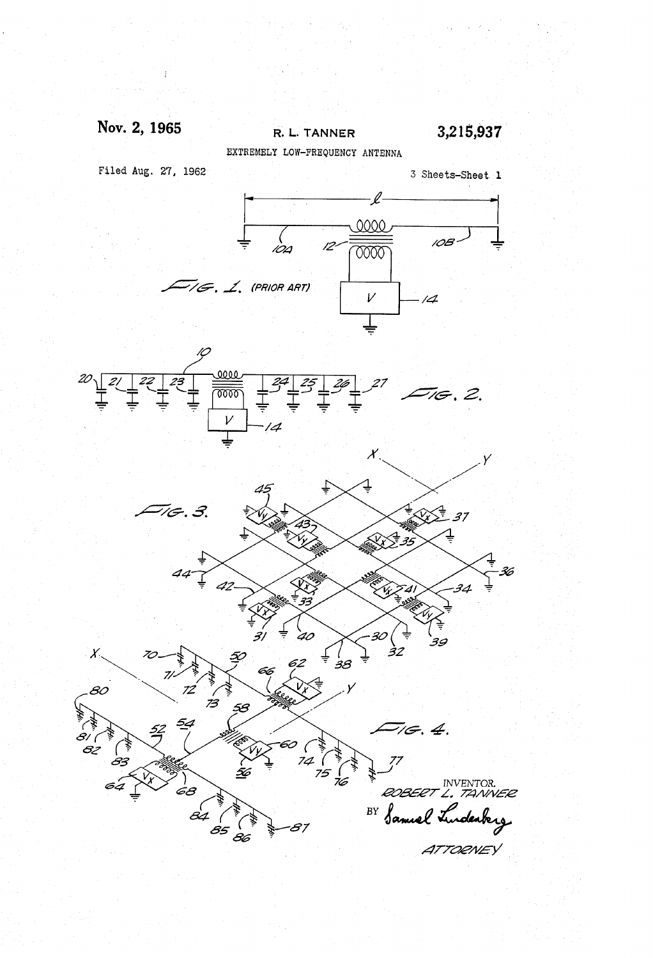### Nov. 2, 1965

R. L. TANNER

3,215,937

EXTREMELY LOW-FREQUENCY ANTENNA

Filed Aug. 27, 1962





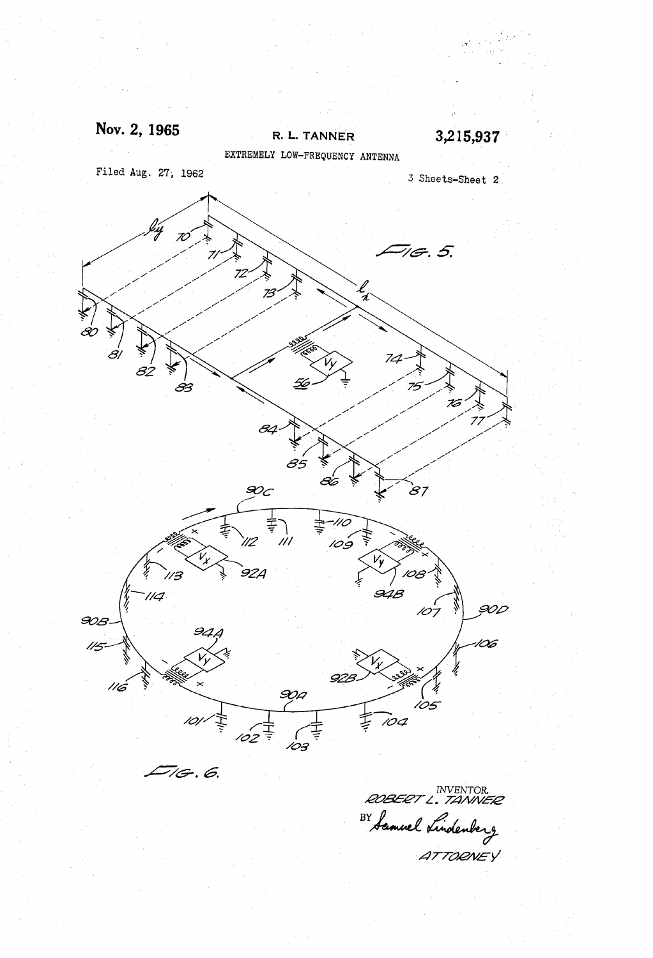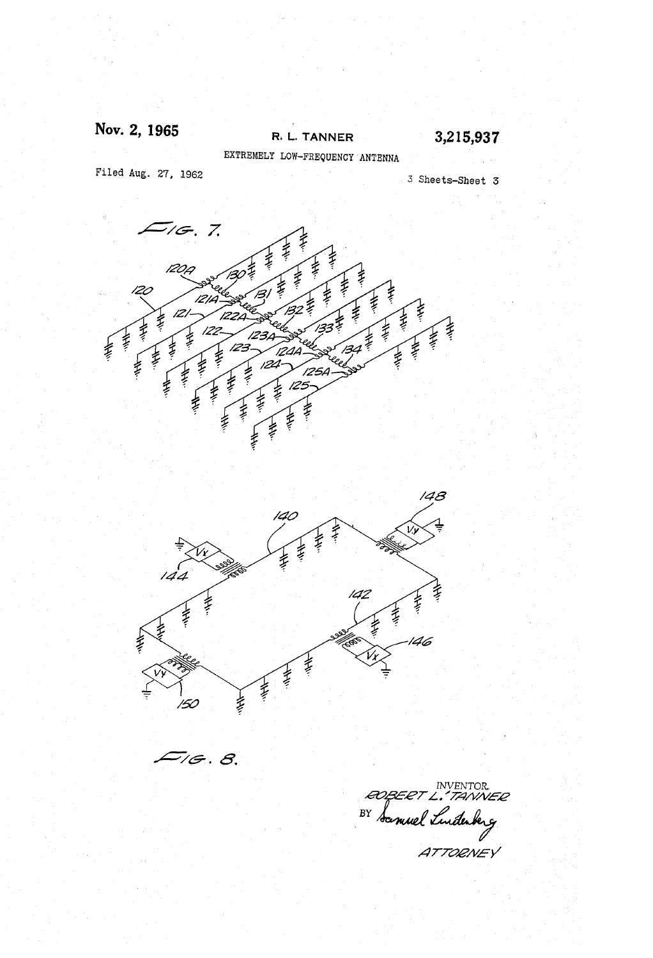## Nov. 2, 1965

### R. L. TANNER

3,215,937

EXTREMELY LOW-FREQUENCY ANTENNA

Filed Aug. 27, 1962

3 Sheets-Sheet 3



ATTORNEY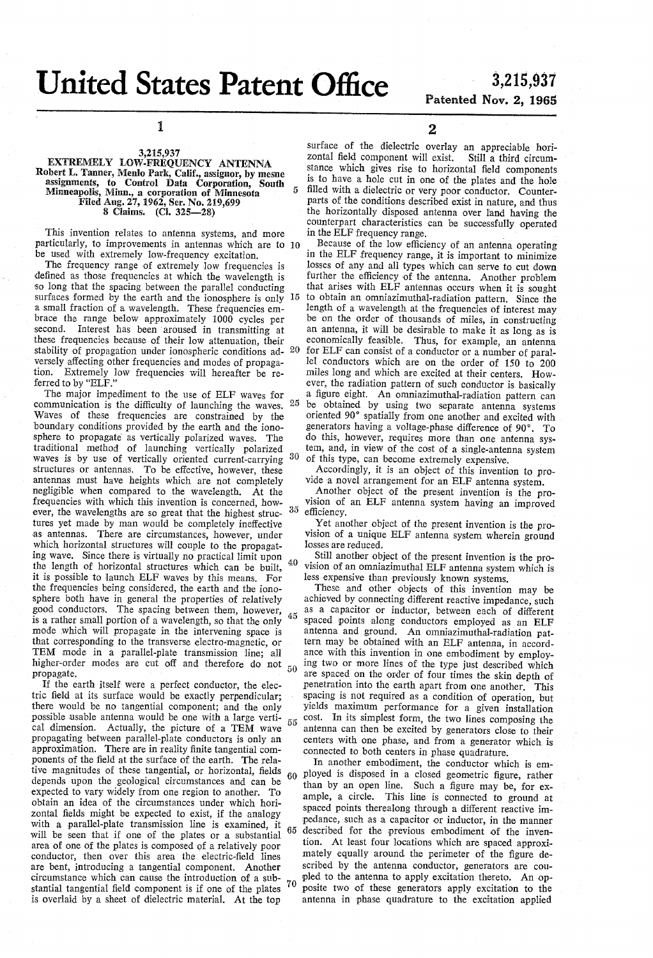## United States Patent Office 3,215,937

# Patented Nov. 2, 1965

1

## 3,215,937<br>EXTREMELY LOW-FREQUENCY ANTENNA Robert L. Tanner, Menlo Park, Calif., assignor, by mesne assignments, to Control Data Corporation, South Minneapolis, Nimn, a corporation of Minneapolis, Nimn, a corporation of Minneapolis, Filed Aug. 27, 1962, Ser. No. 219,699<br>8 Claims. (Cl. 325–28)

This invention relates to antenna systems, and more particularly, to improvements in antennas which are to O be used with extremely low-frequency excitation.

The frequency range of extremely low frequencies is defined as those frequencies at which the wavelength is<br>so long that the spacing between the parallel conducting so long that the spacing between the parallel conducting that arises with ELF antennas occurs when it is sought surfaces formed by the earth and the ionosphere is only 15 to obtain an omniazimuthal-radiation pattern. Since a small fraction of a wavelength. These frequencies embrace the range below approximately 1000 cycles per second. Interest has been aroused in transmitting at these frequencies because of their low attenuation, their these frequencies because of their low attenuation, their stability of propagation under ionospheric conditions ad- 20 versely affecting other frequencies and modes of propaga tion. Extremely low frequencies will hereafter be re ferred to by "ELF."

The major impediment to the use of ELF waves for communication is the difficulty of launching the waves.  $25$ Waves of these frequencies are constrained by the boundary conditions provided by the earth and the iono sphere to propagate as vertically polarized waves. The traditional method of launching vertically polarized waves is by use of vertically oriented current-carrying <sup>30</sup> structures or antennas. To be effective, however, these antennas must have heights which are not completely negligible when compared to the wavelength. At the frequencies with which this invention is concerned, how ever, the wavelengths are so great that the highest struc-  $35$ tures yet made by man would be completely ineffective as antennas. There are circumstances, however, under ing wave. Since there is virtually no practical limit upon the length of horizontal structures which can be built, it is possible to launch ELF waves by this means. For the frequencies being considered, the earth and the iono-<br>sphere both have in general the properties of relatively good conductors. The spacing between them, however, is a rather small portion of a wavelength, so that the only mode which will propagate in the intervening space is that corresponding to the transverse electro-magnetic, or TEM mode in a parallel-plate transmission line; all higher-order modes are cut off and therefore do not propagate. 40

If the earth itself were a perfect conductor, the electric field at its surface would be exactly perpendicular. there would be no tangential component; and the only possible usable antenna would be one with a large vertical dimension. Actually, the picture of a TEM Wave propagating between parallel-plate conductors is only an approximation. There are in reality finite tangential com tive magnitudes of these tangential, or horizontal, fields depends upon the geological circumstances and can be expected to vary widely from one region to another. To obtain an idea of the circumstances under which horizontal fields might be expected to exist, if the analogy with a parallel-plate transmission line is examined, it will be seen that if one of the plates or a substantial area of one of the plates is composed of a relatively poor conductor, then over this area the electric-field lines are bent, introducing a tangential component. Another circumstance which can cause the introduction of a sub stantial tangential field component is if one of the plates  $10$  is overlaid by a sheet of dielectric material. At the top 60 65

2

surface of the dielectric overlay an appreciable horizontal field component will exist. Still a third circumzontal field component will exist. Still a third circum-<br>stance which gives rise to horizontal field components is to have a hole cut in one of the plates and the hole filled with a dielectric or very poor conductor. Counter parts of the conditions described exist in nature, and thus the horizontally disposed antenna over land having the counterpart characteristics can be successfully operated in the ELF frequency range.

in the ELF frequency range, it is important to minimize losses of any and all types which can serve to cut down further the efficiency of the antenna. Another problem that arises with ELF antennas occurs when it is sought length of a wavelength at the frequencies of interest may be on the order of thousands of miles, in constructing an antenna, it will be desirable to make it as long as is economically feasible. Thus, for example, an antenna for ELF can consist of a conductor or a number of parallel conductors which are on the order of 150 to 200 miles long and which are excited at their centers. How ever, the radiation pattern of such conductor is basically a figure eight. An omniazimuthal-radiation pattern can oriented 90° spatially from one another and excited with generators having a voltage-phase difference of 90°. To

do this, however, requires more than one antenna system, and, in view of the cost of a single-antenna system

of this type, can become extremely expensive.<br>Accordingly, it is an object of this invention to provide a novel arrangement for an ELF antenna system.<br>Another object of the present invention is the provision of an ELF ante

Yet another object of the present invention is the provision of a unique ELF antenna system wherein ground losses are reduced.<br>Still another object of the present invention is the pro-

vision of an omniazimuthal ELF antenna system which is less expensive than previously known systems.<br>These and other objects of this invention may be

achieved by connecting different reactive impedance, such as a capacitor or inductor, between each of different spaced points along conductors employed as an ELF antenna and ground. An omniazimuthal-radiation pat tern may be obtained with an ELF antenna, in accordance with this invention in one embodiment by employing two or more lines of the type just described which are spaced on the order of four times the skin depth of penetration into the earth apart from one another. This spacing is not required as a condition of operation, but yields maximum performance for a given installation cost. In its simplest form, the two lines composing the antenna can then be excited by generators close to their centers with one phase, and from a generator which is connected to both centers in phase quadrature.

In another embodiment, the conductor which is em ployed is disposed in a closed geometric figure, rather than by an open line. Such a figure may be, for ex ample, a circle. This line is connected to ground at spaced points therealong through a different reactive im pedance, such as a capacitor or inductor, in the manner described for the previous embodiment of the invention. At least four locations which are spaced approximately equally around the perimeter of the figure described by the antenna conductor, generators are cou-<br>pled to the antenna to apply excitation thereto. An opposite two of these generators apply excitation to the antenna in phase quadrature to the excitation applied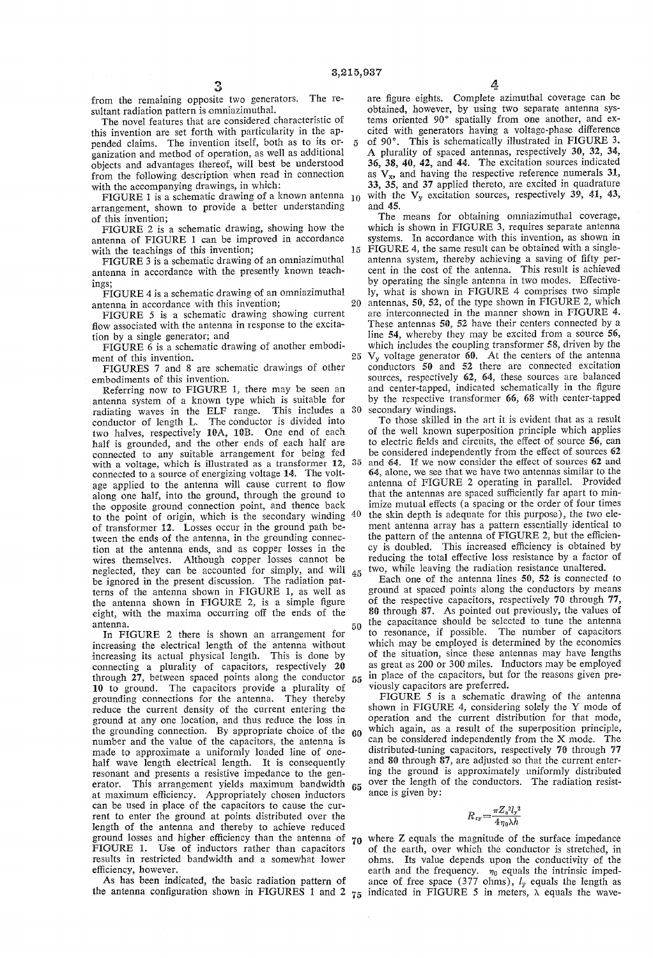20

25

from the remaining opposite two generators. The re sultant radiation pattern is omniazimuthal.

The novel features that are considered characteristic of this invention are set forth with particularity in the appended claims. The invention itself, both as to its or- 5 ganization and method of operation, as well as additional objects and advantages thereof, will best be understood from the following description when read in connection with the accompanying drawings, in which:

FIGURE 1 is a schematic drawing of a known antenna  $_{10}$ arrangement, shown to provide a better understanding of this invention;

FIGURE 2 is a schematic drawing, showing how the antenna of FIGURE 1 can be improved in accordance with the teachings of this invention; 15

FIGURE 3 is a schematic drawing of an omniazimuthal antenna in accordance with the presently known teach lingS.

FIGURE 4 is a schematic drawing of an omniazimuthal antenna in accordance with this invention;

FIGURE 5 is a schematic drawing showing current flow associated with the antenna in response to the excita tion by a single generator; and

FIGURE 6 is a schematic drawing of another embodi ment of this invention.

FIGURES 7 and 8 are schematic drawings of other embodiments of this invention.

Referring now to FIGURE 1, there may be seen an antenna system of a known type which is suitable for radiating waves in the ELF range. This includes a 30 conductor of length L. The conductor is divided into two halves, respectively 10A, 10B. One end of each half is grounded, and the other ends of each half are connected to any suitable arrangement for being fed<br>with a voltage, which is illustrated as a transformer 12, 35 connected to a source of energizing voltage 14. The voltage applied to the antenna will cause current to flow along one half, into the ground, through the ground to the opposite ground connection point, and thence back 40 to the point of origin, which is the secondary winding of transformer 12. Losses occur in the ground path be tween the ends of the antenna, in the grounding connec tion at the antenna ends, and as copper losses in the wires themselves. Although copper losses cannot be neglected, they can be accounted for simply, and will  $45$ be ignored in the present discussion. The radiation patterns of the antenna shown in FIGURE 1, as well as<br>the antenna shown in FIGURE 2, is a simple figure eight, with the maxima occurring off the ends of the antenna. 50

In FIGURE 2 there is shown an arrangement for increasing the electrical length of the antenna without increasing its actual physical length. This is done by connecting a plurality of capacitors, respectively 20 through 27, between spaced points along the conductor  $55$ 10 to ground. The capacitors provide a plurality of reduce the current density of the current entering the ground at any one location, and thus reduce the loss in the grounding connection. By appropriate choice of the number and the value of the capacitors, the antenna is made to approximate a uniformly loaded line of one-<br>half wave length electrical length. It is consequently resonant and presents a resistive impedance to the generator. This arrangement yields maximum bandwidth at maximum efficiency. Appropriately chosen inductors can be used in place of the capacitors to cause the cur rent to enter the ground at points distributed over the length of the antenna and thereby to achieve reduced ground losses and higher efficiency than the antenna of  $70$ FIGURE 1. Use of inductors rather than capacitors results in restricted bandwidth and a somewhat lower 65

efficiency, however.<br>As has been indicated, the basic radiation pattern of

are figure eights. Complete azimuthal coverage can be obtained, however, by using two separate antenna sys tems oriented 90° spatially from one another, and ex cited with generators having a voltage-phase difference of 90°. This is schematically illustrated in FIGURE 3. A plurality of spaced antennas, respectively 30, 32, 34, 36, 38, 40, 42, and 44. The excitation sources indicated as  $V_x$ , and having the respective reference numerals 31, 33, 35, and 37 applied thereto, are excited in quadrature with the  $V_y$  excitation sources, respectively 39, 41, 43,

and 45.<br>The means for obtaining omniazimuthal coverage, which is shown in FIGURE 3, requires separate antenna systems. In accordance with this invention, as shown in FIGURE 4, the same result can be obtained with a single-FIGURE 4, the same result can be obtained with a single-<br>antenna system, thereby achieving a saving of fifty percent in the cost of the antenna. This result is achieved by operating the single antenna in two modes. Effective ly, what is shown in FIGURE 4 comprises two simple antennas, 50, 52, of the type shown in FIGURE 2, which are interconnected in the manner shown in FIGURE 4. These antennas 50, 52 have their centers connected by a line 54, whereby they may be excited from a source 56, which includes the coupling transformer 58, driven by the  $V_y$  voltage generator  $\overline{60}$ . At the centers of the antenna conductors 50 and 52 there are connected excitation sources, respectively 62, 64, these sources are balanced and center-tapped, indicated schematically in the figure by the respective transformer 66, 68 with center-tapped secondary windings.

To those skilled in the art it is evident that as a result of the well known superposition principle which applies to electric fields and circuits, the effect of source 56, can be considered independently from the effect of sources 62 and 64. If we now consider the effect of sources 62 and 64, alone, we see that we have two antennas similar to the antenna of FIGURE 2 operating in parallel. Provided that the antennas are spaced sufficiently far apart to min imize mutual effects (a spacing or the order of four times the skin depth is adequate for this purpose), the two ele ment antenna array has a pattern essentially identical to the pattern of the antenna of FIGURE 2, but the efficien-<br>cy is doubled. This increased efficiency is obtained by reducing the total effective loss resistance by a factor of two, while leaving the radiation resistance unaltered.

Each one of the antenna lines 50, 52 is connected to ground at Spaced points along the conductors by means of the respective capacitors, respectively 70 through 77, 80 through 87. As pointed out previously, the values of the capacitance should be selected to tune the antenna<br>to resonance, if possible. The number of capacitors which may be employed is determined by the economics of the situation, since these antennas may have lengths as great as 200 or 300 miles. Inductors may be employed in place of the capacitors, but for the reasons given previously capacitors are preferred.

60 which again, as a result of the superposition principle,<br>can be considered independently from the X mode. The FIGURE 5 is a schematic drawing of the antenna shown in FIGURE 4, considering solely the Y mode of operation and the current distribution for that mode, which again, as a result of the superposition principle, distributed-tuning capacitors, respectively 70 through 77 and 80 through 87, are adjusted so that the current entering the ground is approximately uniformly distributed over the length of the conductors. The radiation resistance is given by:

$$
R_{\rm ry} = \frac{\pi Z_s^2 l_y^2}{4 \eta_0 \lambda h}
$$

As has been indicated, the basic radiation pattern of ance of free space (377 ohms),  $l_y$  equals the length as the antenna configuration shown in FIGURES 1 and 2  $r_5$  indicated in FIGURE 5 in meters,  $\lambda$  equals the wave of the earth, over which the conductor is stretched, in ohms. Its value depends upon the conductivity of the earth and the frequency.  $\eta_0$  equals the intrinsic impedance of free space (377 ohms),  $l_y$  equals the length as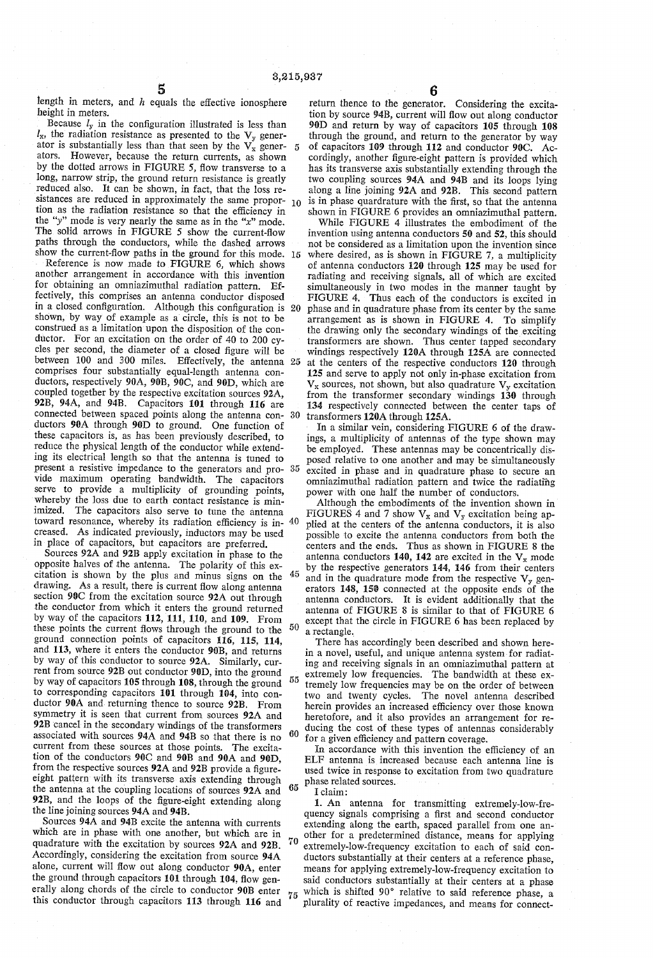length in meters, and h equals the effective ionosphere height in meters.

Because  $l_y$  in the configuration illustrated is less than  $l_x$ , the radiation resistance as presented to the  $V_y$  generator is substantially less than that seen by the  $V_x$  gener- $\overline{5}$ ators. However, because the return currents, as shown<br>by the dotted arrows in FIGURE 5, flow transverse to a long, narrow strip, the ground return resistance is greatly reduced also. It can be shown, in fact, that the loss re sistances are reduced in approximately the same propor-  $10$ tion as the radiation resistance so that the efficiency in the "y" mode is very nearly the same as in the " $x$ " mode. The solid arrows in FIGURE 5 show the current-flow paths through the conductors, while the dashed arrows show the current-flow paths in the ground for this mode. 15

Reference is now made to FIGURE 6, which shows another arrangement in accordance with this invention for obtaining an omniazimuthal radiation pattern. Effectively, this comprises an antenna conductor disposed fectively, this comprises an antenna conductor disposed in a closed configuration. Although this configuration is 20 shown, by way of example as a circle, this is not to be construed as a limitation upon the disposition of the conductor. For an excitation on the order of 40 to 200 cycles per second, the diameter of a closed figure will be between 100 and 300 miles. Effectively, the antenna 25 comprises four substantially equal-length antenna con ductors, respectively 90A, 90B, 90C, and 90D, which are coupled together by the respective excitation sources 92A, 92B, 94A, and 94B. Capacitors 101 through 116 are connected between spaced points along the antenna con-30 ductors 90A through 90D to ground. One function of these capacitors is, as has been previously described, to reduce the physical length of the conductor while extend ing its electrical length so that the antenna is tuned to present a resistive impedance to the generators and pro-35 vide maximum operating bandwidth. The capacitors serve to provide a multiplicity of grounding points, whereby the loss due to earth contact resistance is minimized. The capacitors also serve to tune the antenna toward resonance, whereby its radiation efficiency is in 40 creased. As indicated previously, inductors may be used in place of capacitors, but capacitors are preferred.

Sources 92A and 92B apply excitation in phase to the opposite halves of the antenna. The polarity of this ex citation is shown by the plus and minus signs on the 45 drawing. As a result, there is current flow along antenna section 90C from the excitation source 92A out through the conductor from which it enters the ground returned by way of the capacitors 112, 111, 110, and 109. From these points the current flows through the ground to the ground connection points of capacitors 116, 115, 114, and 113, where it enters the conductor 90B, and returns by way of this conductor to source 92A. Similarly, current from source 92B out conductor 90D, into the ground by way of capacitors 105 through 108, through the ground to corresponding capacitors 101 through 104, into con ductor 90A and returning thence to source 92B. From symmetry it is seen that current from sources 92A and 92B cancel in the secondary windings of the transformers associated with sources 94A and 94B so that there is no current from these sources at those points. The excitation of the conductors  $90C$  and  $90B$  and  $90A$  and  $90D$ . from the respective sources 92A and 92B provide a figure-<br>eight pattern with its transverse axis extending through the antenna at the coupling locations of sources 92A and 92B, and the loops of the figure-eight extending along the line joining sources 94A and 94B. 50 55 60

Sources 94A and 94B excite the antenna with currents which are in phase with one another, but which are in quadrature with the excitation by sources 92A and 92B. Accordingly, considering the excitation from source 94A alone, current will flow out along conductor 90A, enter the ground through capacitors 101 through 104, flow gen erally along chords of the circle to conductor 90B enter this conductor through capacitors 113 through 116 and

75

70

return thence to the generator. Considering the excita tion by source 94B, current will flow out along conductor 90D and return by way of capacitors 105 through 108 through the ground, and return to the generator by way of capacitors 109 through 112 and conductor 90C. Accordingly, another figure-eight pattern is provided which has its transverse axis substantially extending through the two coupling sources 94A and 94B and its loops lying along a line joining 92A and 92B. This second pattern is in phase quardrature with the first, so that the antenna shown in FIGURE 6 provides an omniazimuthal pattern. While FIGURE 4 illustrates the embodiment of the

invention using antenna conductors 50 and 52, this should not be considered as a limitation upon the invention since where desired, as is shown in FIGURE 7, a multiplicity of antenna conductors 120 through 125 may be used for radiating and receiving signals, all of which are excited simultaneously in two modes in the manner taught by FIGURE 4. Thus each of the conductors is excited in phase and in quadrature phase from its center by the same arrangement as is shown in FIGURE 4. To simplify the drawing only the secondary windings of the exciting transformers are shown. Thus center tapped secondary windings respectively 120A through 125A are connected at the centers of the respective conductors 120 through 125 and serve to apply not only in-phase excitation from  $V_x$  sources, not shown, but also quadrature  $V_y$  excitation from the transformer secondary windings 130 through 134 respectively connected between the center taps of transformers 120A through 125A.

In a similar vein, considering FIGURE 6 of the drawings, a multiplicity of antennas of the type shown may be employed. These antennas may be concentrically disposed relative to one another and may be simultaneously excited in phase and in quadrature phase to secure an omniazimuthal radiation pattern and twice the radiating power with one half the number of conductors.

Although the embodiments of the invention shown in FIGURES 4 and 7 show  $V_x$  and  $V_y$  excitation being applied at the centers of the antenna conductors, it is also possible to excite the antenna conductors from both the centers and the ends. Thus as shown in FIGURE 8 the antenna conductors 140, 142 are excited in the  $V_x$  mode by the respective generators 144, 146 from their centers and in the quadrature mode from the respective  $V_y$  generators 148, 150 connected at the opposite ends of the antenna conductors. It is evident additionally that the antenna of FIGURE 8 is similar to that of FIGURE 6 except that the circle in FIGURE 6 has been replaced by a rectangle.

There has accordingly been described and shown here in a novel, useful, and unique antenna system for radiat ing and receiving signals in an omniazimuthal pattern at extremely low frequencies. The bandwidth at these ex tremely low frequencies may be on the order of between two and twenty cycles. The novel antenna described herein provides an increased efficiency over those known heretofore, and it also provides an arrangement for reducing the cost of these types of antennas considerably for a given efficiency and pattern coverage.

 $65$  phase related sources. In accordance with this invention the efficiency of an ELF antenna is increased because each antenna line is used twice in response to excitation from two quadrature I claim:

1. An antenna for transmitting extremely-low-frequency signals comprising a first and second conductor extending along the earth, spaced parallel from one an-<br>other for a predetermined distance, means for applying extremely-low-frequency excitation to each of said conductors substantially at their centers at a reference phase, means for applying extremely-low-frequency excitation to said conductors substantially at their centers at a phase which is shifted 90° relative to said reference phase, a plurality of reactive impedances, and means for connect